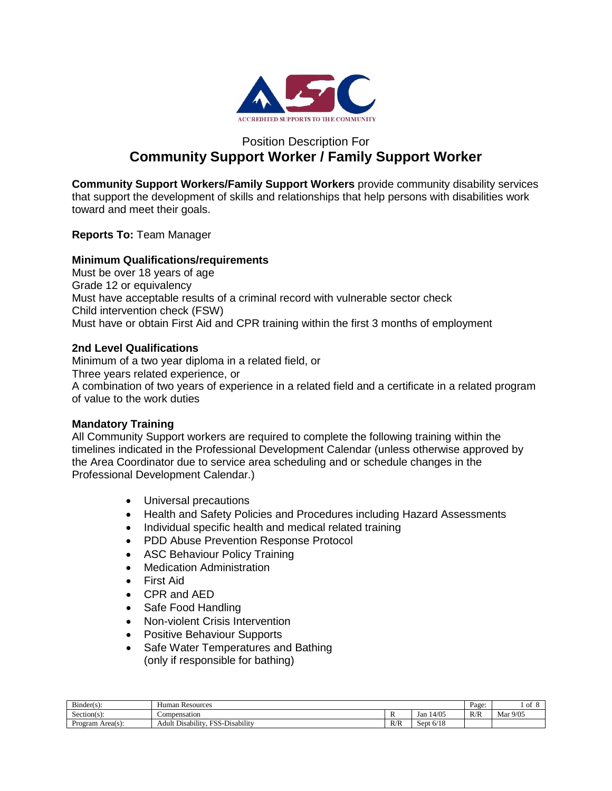

# Position Description For **Community Support Worker / Family Support Worker**

**Community Support Workers/Family Support Workers** provide community disability services that support the development of skills and relationships that help persons with disabilities work toward and meet their goals.

**Reports To:** Team Manager

# **Minimum Qualifications/requirements**

Must be over 18 years of age Grade 12 or equivalency Must have acceptable results of a criminal record with vulnerable sector check Child intervention check (FSW) Must have or obtain First Aid and CPR training within the first 3 months of employment

# **2nd Level Qualifications**

Minimum of a two year diploma in a related field, or Three years related experience, or A combination of two years of experience in a related field and a certificate in a related program of value to the work duties

# **Mandatory Training**

All Community Support workers are required to complete the following training within the timelines indicated in the Professional Development Calendar (unless otherwise approved by the Area Coordinator due to service area scheduling and or schedule changes in the Professional Development Calendar.)

- Universal precautions
- Health and Safety Policies and Procedures including Hazard Assessments
- Individual specific health and medical related training
- PDD Abuse Prevention Response Protocol
- ASC Behaviour Policy Training
- Medication Administration
- First Aid
- CPR and AED
- Safe Food Handling
- Non-violent Crisis Intervention
- Positive Behaviour Supports
- Safe Water Temperatures and Bathing (only if responsible for bathing)

| $\sim$<br>Bunder(s) | ı Resources<br>Human                                                                                |            |                            | Page: | Οİ       |
|---------------------|-----------------------------------------------------------------------------------------------------|------------|----------------------------|-------|----------|
| $Section(s)$ :      | Compensation                                                                                        |            | 14/05<br>Jan               | R/R   | Mar 9/05 |
| Area(s):<br>Program | $\cdots$<br>$\cdots$<br>$H \cap \Omega$<br>$\sim$<br>$\sim$<br>Disability<br>Adult<br>$D$ isability | D/D<br>K/K | 6/10<br>sept 6<br>E O/ I č |       |          |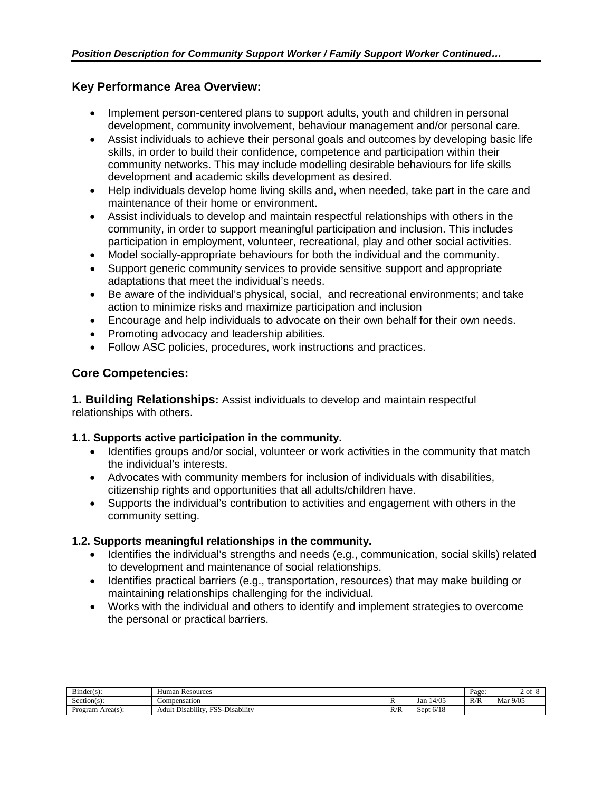# **Key Performance Area Overview:**

- Implement person-centered plans to support adults, youth and children in personal development, community involvement, behaviour management and/or personal care.
- Assist individuals to achieve their personal goals and outcomes by developing basic life skills, in order to build their confidence, competence and participation within their community networks. This may include modelling desirable behaviours for life skills development and academic skills development as desired.
- Help individuals develop home living skills and, when needed, take part in the care and maintenance of their home or environment.
- Assist individuals to develop and maintain respectful relationships with others in the community, in order to support meaningful participation and inclusion. This includes participation in employment, volunteer, recreational, play and other social activities.
- Model socially-appropriate behaviours for both the individual and the community.
- Support generic community services to provide sensitive support and appropriate adaptations that meet the individual's needs.
- Be aware of the individual's physical, social, and recreational environments; and take action to minimize risks and maximize participation and inclusion
- Encourage and help individuals to advocate on their own behalf for their own needs.
- Promoting advocacy and leadership abilities.
- Follow ASC policies, procedures, work instructions and practices.

# **Core Competencies:**

**1. Building Relationships:** Assist individuals to develop and maintain respectful relationships with others.

# **1.1. Supports active participation in the community.**

- Identifies groups and/or social, volunteer or work activities in the community that match the individual's interests.
- Advocates with community members for inclusion of individuals with disabilities, citizenship rights and opportunities that all adults/children have.
- Supports the individual's contribution to activities and engagement with others in the community setting.

# **1.2. Supports meaningful relationships in the community.**

- Identifies the individual's strengths and needs (e.g., communication, social skills) related to development and maintenance of social relationships.
- Identifies practical barriers (e.g., transportation, resources) that may make building or maintaining relationships challenging for the individual.
- Works with the individual and others to identify and implement strategies to overcome the personal or practical barriers.

| $\mathbf{r}$<br>$Bunder(s)$ : | i Resources<br>Human                                                                         |     |              | Page: | 2 of     |
|-------------------------------|----------------------------------------------------------------------------------------------|-----|--------------|-------|----------|
| $\sim$<br>$Section(s)$ :      | Compensation                                                                                 | л   | 14/05<br>Jan | R/R   | Mar 9/05 |
| $Area(s)$ :<br>Program        | $\cdots$<br>$\cdots$<br>$T''$ $C$<br>$\sim$<br>$\cdots$<br>Disability<br>Adult<br>Disability | R/R | Sept $6/18$  |       |          |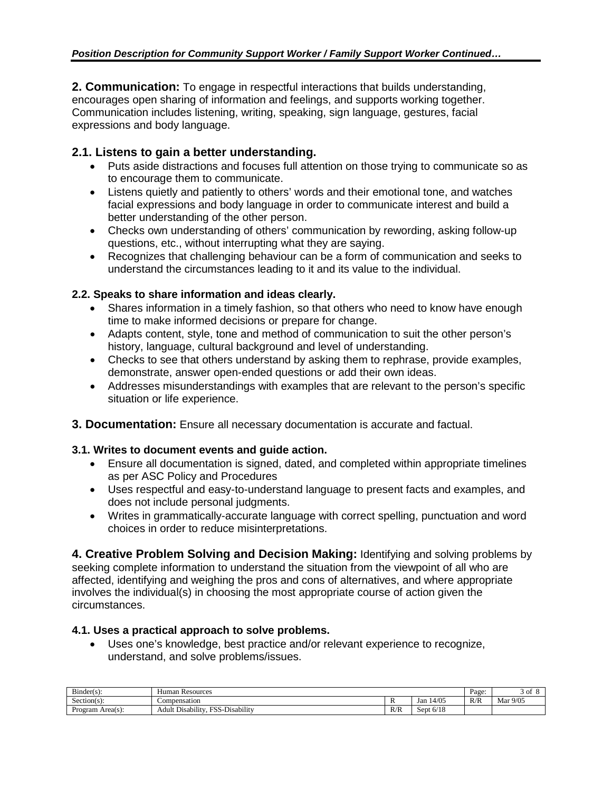**2. Communication:** To engage in respectful interactions that builds understanding, encourages open sharing of information and feelings, and supports working together. Communication includes listening, writing, speaking, sign language, gestures, facial expressions and body language.

# **2.1. Listens to gain a better understanding.**

- Puts aside distractions and focuses full attention on those trying to communicate so as to encourage them to communicate.
- Listens quietly and patiently to others' words and their emotional tone, and watches facial expressions and body language in order to communicate interest and build a better understanding of the other person.
- Checks own understanding of others' communication by rewording, asking follow-up questions, etc., without interrupting what they are saying.
- Recognizes that challenging behaviour can be a form of communication and seeks to understand the circumstances leading to it and its value to the individual.

# **2.2. Speaks to share information and ideas clearly.**

- Shares information in a timely fashion, so that others who need to know have enough time to make informed decisions or prepare for change.
- Adapts content, style, tone and method of communication to suit the other person's history, language, cultural background and level of understanding.
- Checks to see that others understand by asking them to rephrase, provide examples, demonstrate, answer open-ended questions or add their own ideas.
- Addresses misunderstandings with examples that are relevant to the person's specific situation or life experience.
- **3. Documentation:** Ensure all necessary documentation is accurate and factual.

# **3.1. Writes to document events and guide action.**

- Ensure all documentation is signed, dated, and completed within appropriate timelines as per ASC Policy and Procedures
- Uses respectful and easy-to-understand language to present facts and examples, and does not include personal judgments.
- Writes in grammatically-accurate language with correct spelling, punctuation and word choices in order to reduce misinterpretations.

**4. Creative Problem Solving and Decision Making:** Identifying and solving problems by seeking complete information to understand the situation from the viewpoint of all who are affected, identifying and weighing the pros and cons of alternatives, and where appropriate involves the individual(s) in choosing the most appropriate course of action given the circumstances.

# **4.1. Uses a practical approach to solve problems.**

• Uses one's knowledge, best practice and/or relevant experience to recognize, understand, and solve problems/issues.

| --<br>$Bunder(s)$ :     | Resources<br>Human                                            |                         |                                      | Page: | 3 of     |
|-------------------------|---------------------------------------------------------------|-------------------------|--------------------------------------|-------|----------|
| Section(s):             | Compensation                                                  | $\overline{\mathbf{r}}$ | 14/05<br>Jan                         | R/R   | Mar 9/05 |
| Area $(s)$ :<br>Program | Disability<br><b>ECC</b><br><br>$\sim$<br>Adult<br>Disability | R/R                     | 6/18<br>sent<br>$\mathbf{r}$<br>OCDI |       |          |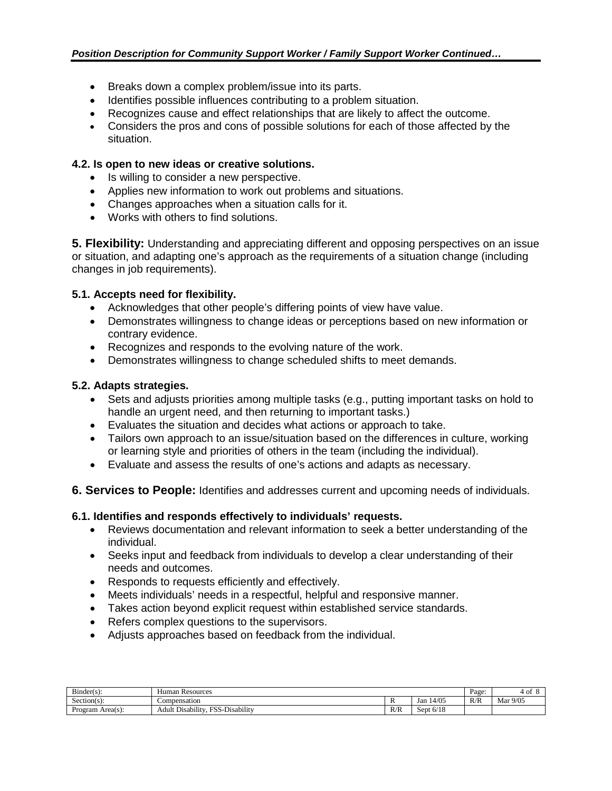- Breaks down a complex problem/issue into its parts.
- Identifies possible influences contributing to a problem situation.
- Recognizes cause and effect relationships that are likely to affect the outcome.
- Considers the pros and cons of possible solutions for each of those affected by the situation.

#### **4.2. Is open to new ideas or creative solutions.**

- Is willing to consider a new perspective.
- Applies new information to work out problems and situations.
- Changes approaches when a situation calls for it.
- Works with others to find solutions.

**5. Flexibility:** Understanding and appreciating different and opposing perspectives on an issue or situation, and adapting one's approach as the requirements of a situation change (including changes in job requirements).

# **5.1. Accepts need for flexibility.**

- Acknowledges that other people's differing points of view have value.
- Demonstrates willingness to change ideas or perceptions based on new information or contrary evidence.
- Recognizes and responds to the evolving nature of the work.
- Demonstrates willingness to change scheduled shifts to meet demands.

# **5.2. Adapts strategies.**

- Sets and adjusts priorities among multiple tasks (e.g., putting important tasks on hold to handle an urgent need, and then returning to important tasks.)
- Evaluates the situation and decides what actions or approach to take.
- Tailors own approach to an issue/situation based on the differences in culture, working or learning style and priorities of others in the team (including the individual).
- Evaluate and assess the results of one's actions and adapts as necessary.
- **6. Services to People:** Identifies and addresses current and upcoming needs of individuals.

# **6.1. Identifies and responds effectively to individuals' requests.**

- Reviews documentation and relevant information to seek a better understanding of the individual.
- Seeks input and feedback from individuals to develop a clear understanding of their needs and outcomes.
- Responds to requests efficiently and effectively.
- Meets individuals' needs in a respectful, helpful and responsive manner.
- Takes action beyond explicit request within established service standards.
- Refers complex questions to the supervisors.
- Adjusts approaches based on feedback from the individual.

| $Binder(s)$ :       | Human Resources                                              |     |              |     | ۰ot      |
|---------------------|--------------------------------------------------------------|-----|--------------|-----|----------|
| -<br>$Section(s)$ : | Compensation                                                 |     | 14/05<br>Jan | R/R | Mar 9/05 |
| Area(s):<br>Program | . SS-Disability<br><b>TO C</b><br><b>Disability</b><br>Adult | R/R | Sept $6/18$  |     |          |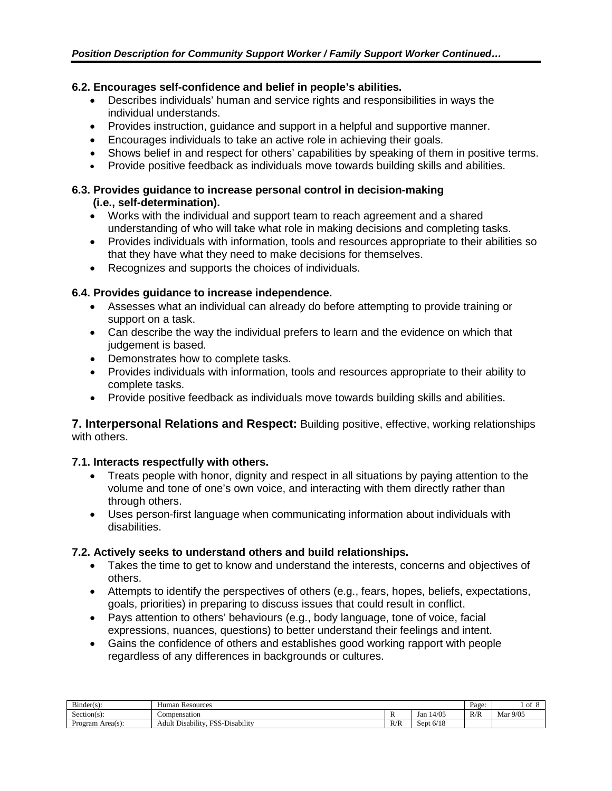# **6.2. Encourages self-confidence and belief in people's abilities.**

- Describes individuals' human and service rights and responsibilities in ways the individual understands.
- Provides instruction, guidance and support in a helpful and supportive manner.
- Encourages individuals to take an active role in achieving their goals.
- Shows belief in and respect for others' capabilities by speaking of them in positive terms.
- Provide positive feedback as individuals move towards building skills and abilities.

# **6.3. Provides guidance to increase personal control in decision-making (i.e., self-determination).**

- Works with the individual and support team to reach agreement and a shared understanding of who will take what role in making decisions and completing tasks.
- Provides individuals with information, tools and resources appropriate to their abilities so that they have what they need to make decisions for themselves.
- Recognizes and supports the choices of individuals.

# **6.4. Provides guidance to increase independence.**

- Assesses what an individual can already do before attempting to provide training or support on a task.
- Can describe the way the individual prefers to learn and the evidence on which that judgement is based.
- Demonstrates how to complete tasks.
- Provides individuals with information, tools and resources appropriate to their ability to complete tasks.
- Provide positive feedback as individuals move towards building skills and abilities.

**7. Interpersonal Relations and Respect:** Building positive, effective, working relationships with others.

# **7.1. Interacts respectfully with others.**

- Treats people with honor, dignity and respect in all situations by paying attention to the volume and tone of one's own voice, and interacting with them directly rather than through others.
- Uses person-first language when communicating information about individuals with disabilities.

# **7.2. Actively seeks to understand others and build relationships.**

- Takes the time to get to know and understand the interests, concerns and objectives of others.
- Attempts to identify the perspectives of others (e.g., fears, hopes, beliefs, expectations, goals, priorities) in preparing to discuss issues that could result in conflict.
- Pays attention to others' behaviours (e.g., body language, tone of voice, facial expressions, nuances, questions) to better understand their feelings and intent.
- Gains the confidence of others and establishes good working rapport with people regardless of any differences in backgrounds or cultures.

| $\sim$<br>$Bunder(s)$ : | Human Resources                                                                                        |            |                                     | Page: | ΟÌ          |
|-------------------------|--------------------------------------------------------------------------------------------------------|------------|-------------------------------------|-------|-------------|
| $\sim$<br>Section(s):   | ∟ompensation                                                                                           |            | 14/05<br>Jan                        | R/R   | 9/05<br>Mar |
| $Area(s)$ :<br>Program  | .<br>$\cdots$<br>$\overline{\phantom{a}}$<br>--<br>FAC<br>Adult<br>Disability<br>. Disability<br>- ده. | D/T<br>N/N | 6/10<br>.sep<br>1 C<br>$\mathbf{u}$ |       |             |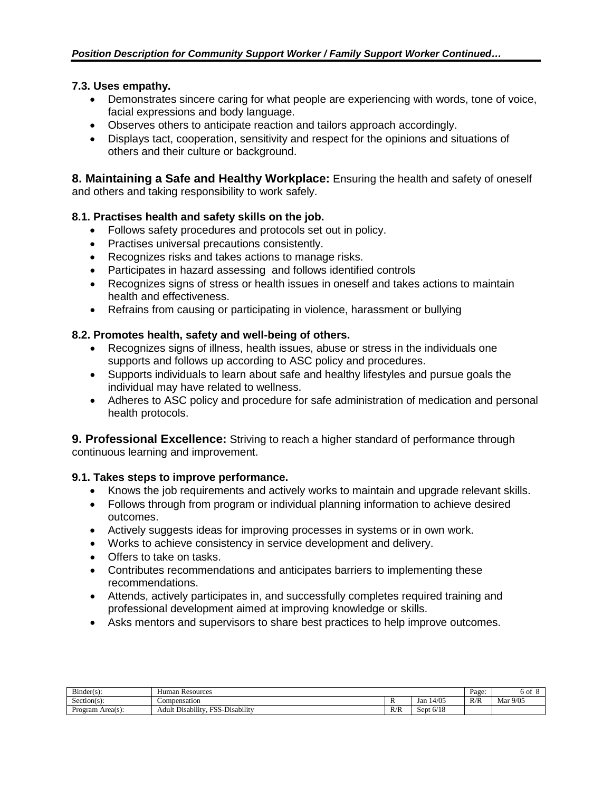# **7.3. Uses empathy.**

- Demonstrates sincere caring for what people are experiencing with words, tone of voice, facial expressions and body language.
- Observes others to anticipate reaction and tailors approach accordingly.
- Displays tact, cooperation, sensitivity and respect for the opinions and situations of others and their culture or background.

**8. Maintaining a Safe and Healthy Workplace:** Ensuring the health and safety of oneself and others and taking responsibility to work safely.

# **8.1. Practises health and safety skills on the job.**

- Follows safety procedures and protocols set out in policy.
- Practises universal precautions consistently.
- Recognizes risks and takes actions to manage risks.
- Participates in hazard assessing and follows identified controls
- Recognizes signs of stress or health issues in oneself and takes actions to maintain health and effectiveness.
- Refrains from causing or participating in violence, harassment or bullying

#### **8.2. Promotes health, safety and well-being of others.**

- Recognizes signs of illness, health issues, abuse or stress in the individuals one supports and follows up according to ASC policy and procedures.
- Supports individuals to learn about safe and healthy lifestyles and pursue goals the individual may have related to wellness.
- Adheres to ASC policy and procedure for safe administration of medication and personal health protocols.

**9. Professional Excellence:** Striving to reach a higher standard of performance through continuous learning and improvement.

# **9.1. Takes steps to improve performance.**

- Knows the job requirements and actively works to maintain and upgrade relevant skills.
- Follows through from program or individual planning information to achieve desired outcomes.
- Actively suggests ideas for improving processes in systems or in own work.
- Works to achieve consistency in service development and delivery.
- Offers to take on tasks.
- Contributes recommendations and anticipates barriers to implementing these recommendations.
- Attends, actively participates in, and successfully completes required training and professional development aimed at improving knowledge or skills.
- Asks mentors and supervisors to share best practices to help improve outcomes.

| $\mathbf{r}$<br>$Bunder(s)$ : | Human Resources                                                                |            |                             | Page: | 6 of     |
|-------------------------------|--------------------------------------------------------------------------------|------------|-----------------------------|-------|----------|
| $\sim$<br>Section(s):         | Compensation                                                                   |            | 14/05<br>Jan                | R/R   | Mar 9/05 |
| $Area(s)$ :<br>Program        | $\cdots$<br>.<br>FQ<br>$\sim$<br>$\sim$<br>Adult<br>. Disability<br>Disability | D/L<br>K/K | C / 1 C<br>sept<br>: O/ I č |       |          |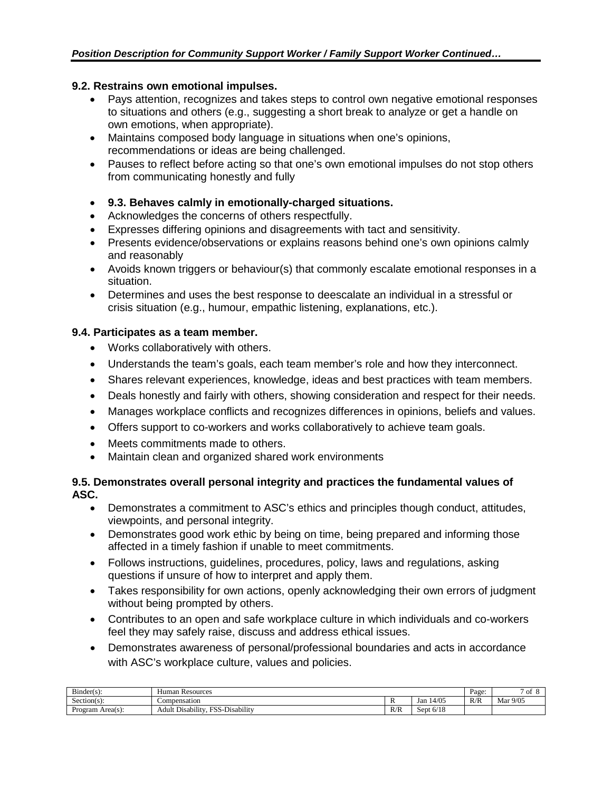# **9.2. Restrains own emotional impulses.**

- Pays attention, recognizes and takes steps to control own negative emotional responses to situations and others (e.g., suggesting a short break to analyze or get a handle on own emotions, when appropriate).
- Maintains composed body language in situations when one's opinions, recommendations or ideas are being challenged.
- Pauses to reflect before acting so that one's own emotional impulses do not stop others from communicating honestly and fully

# • **9.3. Behaves calmly in emotionally-charged situations.**

- Acknowledges the concerns of others respectfully.
- Expresses differing opinions and disagreements with tact and sensitivity.
- Presents evidence/observations or explains reasons behind one's own opinions calmly and reasonably
- Avoids known triggers or behaviour(s) that commonly escalate emotional responses in a situation.
- Determines and uses the best response to deescalate an individual in a stressful or crisis situation (e.g., humour, empathic listening, explanations, etc.).

# **9.4. Participates as a team member.**

- Works collaboratively with others.
- Understands the team's goals, each team member's role and how they interconnect.
- Shares relevant experiences, knowledge, ideas and best practices with team members.
- Deals honestly and fairly with others, showing consideration and respect for their needs.
- Manages workplace conflicts and recognizes differences in opinions, beliefs and values.
- Offers support to co-workers and works collaboratively to achieve team goals.
- Meets commitments made to others.
- Maintain clean and organized shared work environments

#### **9.5. Demonstrates overall personal integrity and practices the fundamental values of ASC.**

- Demonstrates a commitment to ASC's ethics and principles though conduct, attitudes, viewpoints, and personal integrity.
- Demonstrates good work ethic by being on time, being prepared and informing those affected in a timely fashion if unable to meet commitments.
- Follows instructions, guidelines, procedures, policy, laws and regulations, asking questions if unsure of how to interpret and apply them.
- Takes responsibility for own actions, openly acknowledging their own errors of judgment without being prompted by others.
- Contributes to an open and safe workplace culture in which individuals and co-workers feel they may safely raise, discuss and address ethical issues.
- Demonstrates awareness of personal/professional boundaries and acts in accordance with ASC's workplace culture, values and policies.

| $\sim$<br>$Binder(s)$ : | Human Resources                                                                              |     |                      | Page: | -O1      |
|-------------------------|----------------------------------------------------------------------------------------------|-----|----------------------|-------|----------|
| -<br>$Section(s)$ :     | compensation                                                                                 |     | 14/05<br>Jan         | R/R   | Mar 9/05 |
| Area(s):<br>Program     | $\cdots$<br>$\sim$<br>1.11<br>FAC<br>$\sim$<br>-Disability<br>Adult<br>. Disability<br>- 55- | R/R | 2110<br>Sept<br>6/15 |       |          |